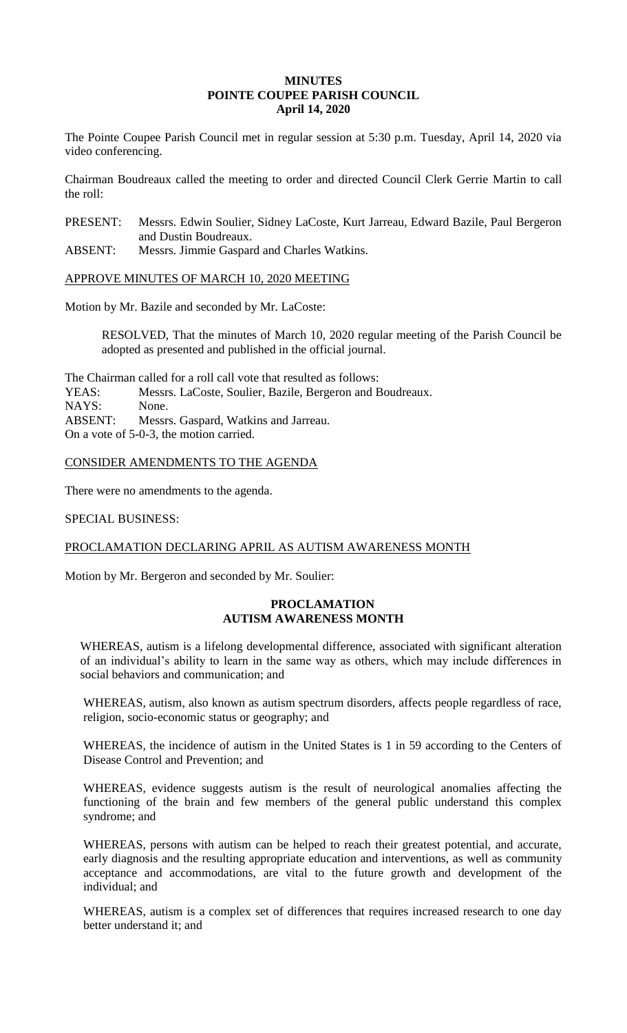### **MINUTES POINTE COUPEE PARISH COUNCIL April 14, 2020**

The Pointe Coupee Parish Council met in regular session at 5:30 p.m. Tuesday, April 14, 2020 via video conferencing.

Chairman Boudreaux called the meeting to order and directed Council Clerk Gerrie Martin to call the roll:

PRESENT: Messrs. Edwin Soulier, Sidney LaCoste, Kurt Jarreau, Edward Bazile, Paul Bergeron and Dustin Boudreaux.

ABSENT: Messrs. Jimmie Gaspard and Charles Watkins.

APPROVE MINUTES OF MARCH 10, 2020 MEETING

Motion by Mr. Bazile and seconded by Mr. LaCoste:

RESOLVED, That the minutes of March 10, 2020 regular meeting of the Parish Council be adopted as presented and published in the official journal.

The Chairman called for a roll call vote that resulted as follows: YEAS: Messrs. LaCoste, Soulier, Bazile, Bergeron and Boudreaux. NAYS: None. ABSENT: Messrs. Gaspard, Watkins and Jarreau. On a vote of 5-0-3, the motion carried.

CONSIDER AMENDMENTS TO THE AGENDA

There were no amendments to the agenda.

SPECIAL BUSINESS:

PROCLAMATION DECLARING APRIL AS AUTISM AWARENESS MONTH

Motion by Mr. Bergeron and seconded by Mr. Soulier:

# **PROCLAMATION AUTISM AWARENESS MONTH**

WHEREAS, autism is a lifelong developmental difference, associated with significant alteration of an individual's ability to learn in the same way as others, which may include differences in social behaviors and communication; and

WHEREAS, autism, also known as autism spectrum disorders, affects people regardless of race, religion, socio-economic status or geography; and

WHEREAS, the incidence of autism in the United States is 1 in 59 according to the Centers of Disease Control and Prevention; and

WHEREAS, evidence suggests autism is the result of neurological anomalies affecting the functioning of the brain and few members of the general public understand this complex syndrome; and

WHEREAS, persons with autism can be helped to reach their greatest potential, and accurate, early diagnosis and the resulting appropriate education and interventions, as well as community acceptance and accommodations, are vital to the future growth and development of the individual; and

WHEREAS, autism is a complex set of differences that requires increased research to one day better understand it; and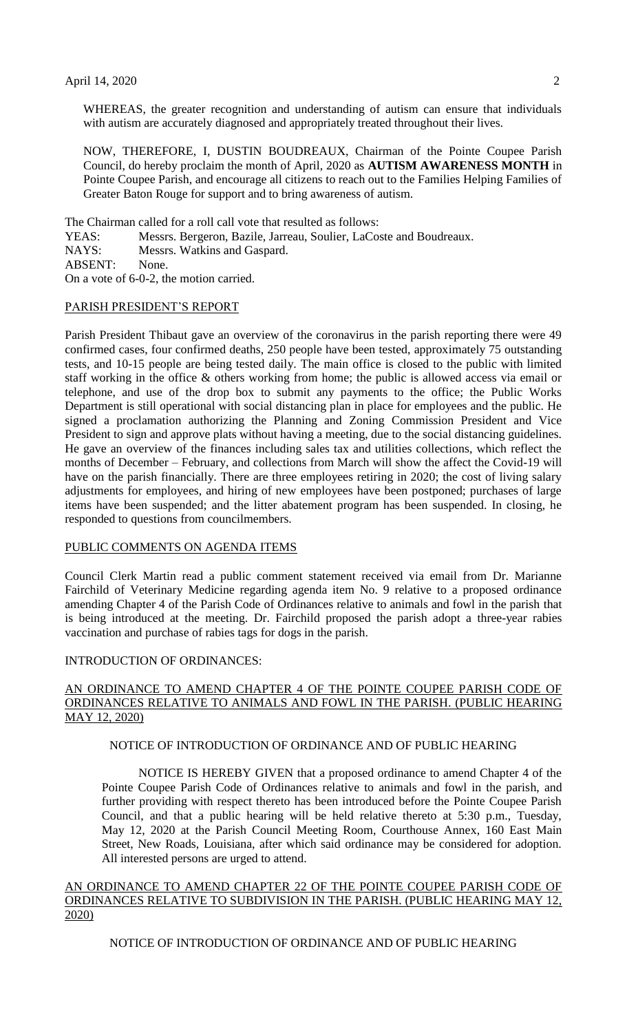WHEREAS, the greater recognition and understanding of autism can ensure that individuals with autism are accurately diagnosed and appropriately treated throughout their lives.

NOW, THEREFORE, I, DUSTIN BOUDREAUX, Chairman of the Pointe Coupee Parish Council, do hereby proclaim the month of April, 2020 as **AUTISM AWARENESS MONTH** in Pointe Coupee Parish, and encourage all citizens to reach out to the Families Helping Families of Greater Baton Rouge for support and to bring awareness of autism.

The Chairman called for a roll call vote that resulted as follows:

YEAS: Messrs. Bergeron, Bazile, Jarreau, Soulier, LaCoste and Boudreaux.

NAYS: Messrs. Watkins and Gaspard.

ABSENT: None.

On a vote of 6-0-2, the motion carried.

#### PARISH PRESIDENT'S REPORT

Parish President Thibaut gave an overview of the coronavirus in the parish reporting there were 49 confirmed cases, four confirmed deaths, 250 people have been tested, approximately 75 outstanding tests, and 10-15 people are being tested daily. The main office is closed to the public with limited staff working in the office & others working from home; the public is allowed access via email or telephone, and use of the drop box to submit any payments to the office; the Public Works Department is still operational with social distancing plan in place for employees and the public. He signed a proclamation authorizing the Planning and Zoning Commission President and Vice President to sign and approve plats without having a meeting, due to the social distancing guidelines. He gave an overview of the finances including sales tax and utilities collections, which reflect the months of December – February, and collections from March will show the affect the Covid-19 will have on the parish financially. There are three employees retiring in 2020; the cost of living salary adjustments for employees, and hiring of new employees have been postponed; purchases of large items have been suspended; and the litter abatement program has been suspended. In closing, he responded to questions from councilmembers.

### PUBLIC COMMENTS ON AGENDA ITEMS

Council Clerk Martin read a public comment statement received via email from Dr. Marianne Fairchild of Veterinary Medicine regarding agenda item No. 9 relative to a proposed ordinance amending Chapter 4 of the Parish Code of Ordinances relative to animals and fowl in the parish that is being introduced at the meeting. Dr. Fairchild proposed the parish adopt a three-year rabies vaccination and purchase of rabies tags for dogs in the parish.

### INTRODUCTION OF ORDINANCES:

# AN ORDINANCE TO AMEND CHAPTER 4 OF THE POINTE COUPEE PARISH CODE OF ORDINANCES RELATIVE TO ANIMALS AND FOWL IN THE PARISH. (PUBLIC HEARING MAY 12, 2020)

#### NOTICE OF INTRODUCTION OF ORDINANCE AND OF PUBLIC HEARING

NOTICE IS HEREBY GIVEN that a proposed ordinance to amend Chapter 4 of the Pointe Coupee Parish Code of Ordinances relative to animals and fowl in the parish, and further providing with respect thereto has been introduced before the Pointe Coupee Parish Council, and that a public hearing will be held relative thereto at 5:30 p.m., Tuesday, May 12, 2020 at the Parish Council Meeting Room, Courthouse Annex, 160 East Main Street, New Roads, Louisiana, after which said ordinance may be considered for adoption. All interested persons are urged to attend.

AN ORDINANCE TO AMEND CHAPTER 22 OF THE POINTE COUPEE PARISH CODE OF ORDINANCES RELATIVE TO SUBDIVISION IN THE PARISH. (PUBLIC HEARING MAY 12, 2020)

NOTICE OF INTRODUCTION OF ORDINANCE AND OF PUBLIC HEARING